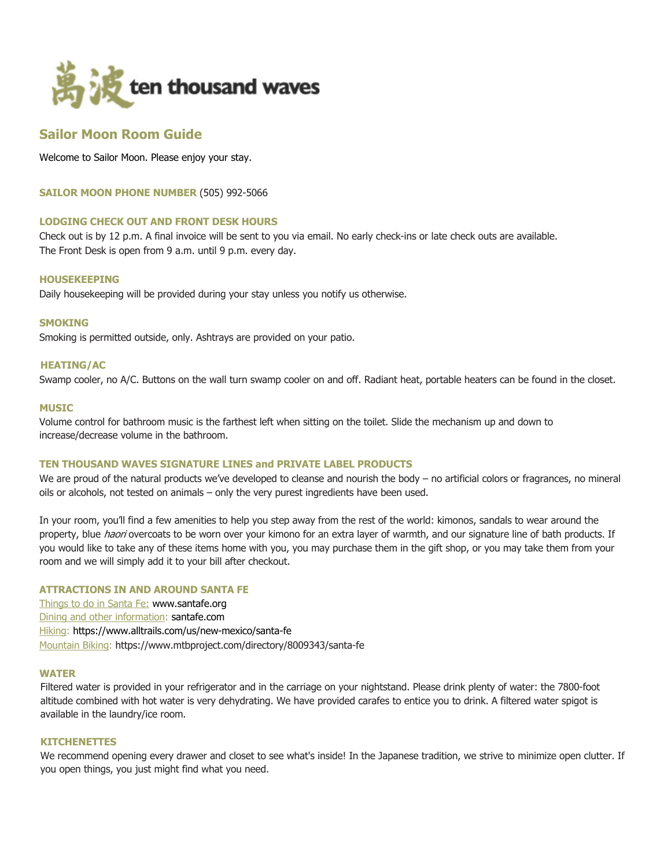

# **Sailor Moon Room Guide**

Welcome to Sailor Moon. Please enjoy your stay.

**SAILOR MOON PHONE NUMBER** (505) 992-5066

## **LODGING CHECK OUT AND FRONT DESK HOURS**

Check out is by 12 p.m. A final invoice will be sent to you via email. No early check-ins or late check outs are available. The Front Desk is open from 9 a.m. until 9 p.m. every day.

#### **HOUSEKEEPING**

Daily housekeeping will be provided during your stay unless you notify us otherwise.

#### **SMOKING**

Smoking is permitted outside, only. Ashtrays are provided on your patio.

# **HEATING/AC**

Swamp cooler, no A/C. Buttons on the wall turn swamp cooler on and off. Radiant heat, portable heaters can be found in the closet.

#### **MUSIC**

Volume control for bathroom music is the farthest left when sitting on the toilet. Slide the mechanism up and down to increase/decrease volume in the bathroom.

## **TEN THOUSAND WAVES SIGNATURE LINES and PRIVATE LABEL PRODUCTS**

We are proud of the natural products we've developed to cleanse and nourish the body – no artificial colors or fragrances, no mineral oils or alcohols, not tested on animals – only the very purest ingredients have been used.

In your room, you'll find a few amenities to help you step away from the rest of the world: kimonos, sandals to wear around the property, blue haori overcoats to be worn over your kimono for an extra layer of warmth, and our signature line of bath products. If you would like to take any of these items home with you, you may purchase them in the gift shop, or you may take them from your room and we will simply add it to your bill after checkout.

## **ATTRACTIONS IN AND AROUND SANTA FE**

Things to do in Santa Fe: www.santafe.org Dining and other information: santafe.com Hiking: https://www.alltrails.com/us/new-mexico/santa-fe Mountain Biking: https://www.mtbproject.com/directory/8009343/santa-fe

#### **WATER**

Filtered water is provided in your refrigerator and in the carriage on your nightstand. Please drink plenty of water: the 7800-foot altitude combined with hot water is very dehydrating. We have provided carafes to entice you to drink. A filtered water spigot is available in the laundry/ice room.

#### **KITCHENETTES**

We recommend opening every drawer and closet to see what's inside! In the Japanese tradition, we strive to minimize open clutter. If you open things, you just might find what you need.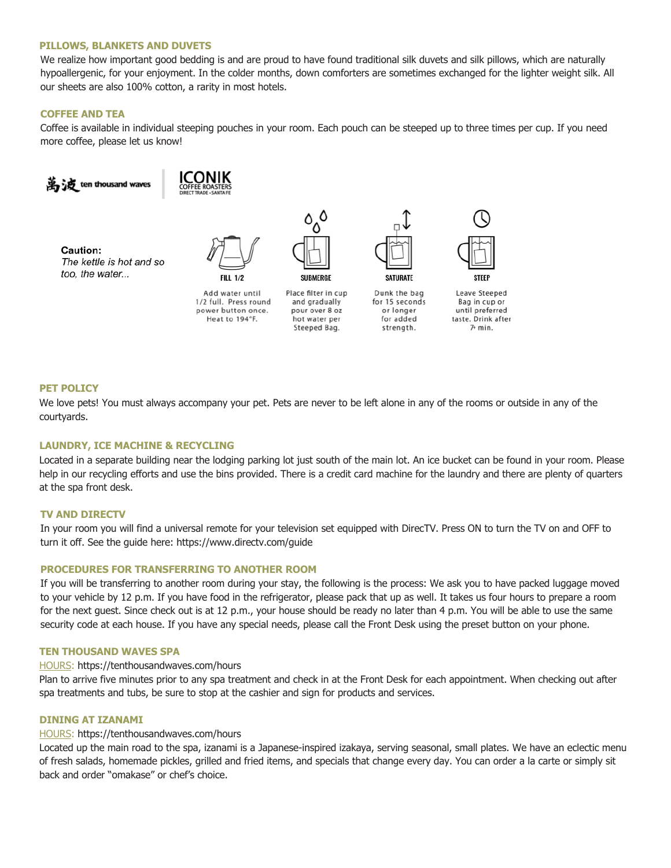#### **PILLOWS, BLANKETS AND DUVETS**

We realize how important good bedding is and are proud to have found traditional silk duvets and silk pillows, which are naturally hypoallergenic, for your enjoyment. In the colder months, down comforters are sometimes exchanged for the lighter weight silk. All our sheets are also 100% cotton, a rarity in most hotels.

## **COFFEE AND TEA**

Coffee is available in individual steeping pouches in your room. Each pouch can be steeped up to three times per cup. If you need more coffee, please let us know!



#### **PET POLICY**

We love pets! You must always accompany your pet. Pets are never to be left alone in any of the rooms or outside in any of the courtyards.

## **LAUNDRY, ICE MACHINE & RECYCLING**

Located in a separate building near the lodging parking lot just south of the main lot. An ice bucket can be found in your room. Please help in our recycling efforts and use the bins provided. There is a credit card machine for the laundry and there are plenty of quarters at the spa front desk.

#### **TV AND DIRECTV**

In your room you will find a universal remote for your television set equipped with DirecTV. Press ON to turn the TV on and OFF to turn it off. See the guide here: https://www.directv.com/guide

#### **PROCEDURES FOR TRANSFERRING TO ANOTHER ROOM**

If you will be transferring to another room during your stay, the following is the process: We ask you to have packed luggage moved to your vehicle by 12 p.m. If you have food in the refrigerator, please pack that up as well. It takes us four hours to prepare a room for the next guest. Since check out is at 12 p.m., your house should be ready no later than 4 p.m. You will be able to use the same security code at each house. If you have any special needs, please call the Front Desk using the preset button on your phone.

## **TEN THOUSAND WAVES SPA**

## HOURS: https://tenthousandwaves.com/hours

Plan to arrive five minutes prior to any spa treatment and check in at the Front Desk for each appointment. When checking out after spa treatments and tubs, be sure to stop at the cashier and sign for products and services.

#### **DINING AT IZANAMI**

#### HOURS: https://tenthousandwaves.com/hours

Located up the main road to the spa, izanami is a Japanese-inspired izakaya, serving seasonal, small plates. We have an eclectic menu of fresh salads, homemade pickles, grilled and fried items, and specials that change every day. You can order a la carte or simply sit back and order "omakase" or chef's choice.